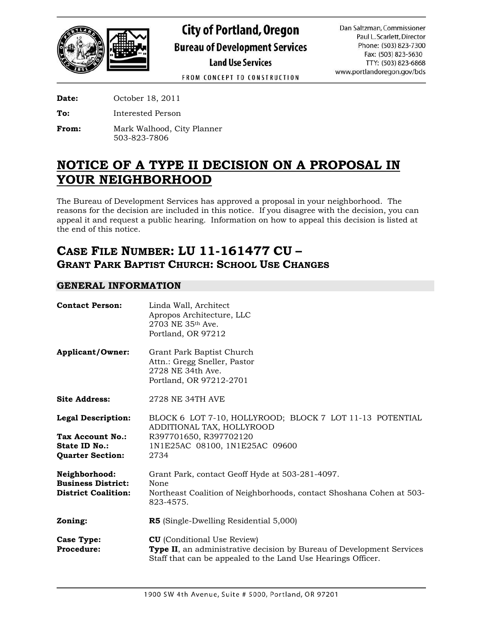

**City of Portland, Oregon Bureau of Development Services Land Use Services** 

Dan Saltzman, Commissioner Paul L. Scarlett, Director Phone: (503) 823-7300 Fax: (503) 823-5630 TTY: (503) 823-6868 www.portlandoregon.gov/bds

FROM CONCEPT TO CONSTRUCTION

**Date:** October 18, 2011

**To:** Interested Person

**From:** Mark Walhood, City Planner 503-823-7806

# **NOTICE OF A TYPE II DECISION ON A PROPOSAL IN YOUR NEIGHBORHOOD**

The Bureau of Development Services has approved a proposal in your neighborhood. The reasons for the decision are included in this notice. If you disagree with the decision, you can appeal it and request a public hearing. Information on how to appeal this decision is listed at the end of this notice.

# **CASE FILE NUMBER: LU 11-161477 CU – GRANT PARK BAPTIST CHURCH: SCHOOL USE CHANGES**

## **GENERAL INFORMATION**

| <b>Contact Person:</b>                                                                    | Linda Wall, Architect<br>Apropos Architecture, LLC<br>2703 NE 35th Ave.<br>Portland, OR 97212                                                                               |
|-------------------------------------------------------------------------------------------|-----------------------------------------------------------------------------------------------------------------------------------------------------------------------------|
| <b>Applicant/Owner:</b>                                                                   | Grant Park Baptist Church<br>Attn.: Gregg Sneller, Pastor<br>2728 NE 34th Ave.<br>Portland, OR 97212-2701                                                                   |
| <b>Site Address:</b>                                                                      | 2728 NE 34TH AVE                                                                                                                                                            |
| <b>Legal Description:</b><br>Tax Account No.:<br>State ID No.:<br><b>Quarter Section:</b> | BLOCK 6 LOT 7-10, HOLLYROOD; BLOCK 7 LOT 11-13 POTENTIAL<br>ADDITIONAL TAX, HOLLYROOD<br>R397701650, R397702120<br>1N1E25AC 08100, 1N1E25AC 09600<br>2734                   |
| Neighborhood:<br><b>Business District:</b><br><b>District Coalition:</b>                  | Grant Park, contact Geoff Hyde at 503-281-4097.<br>None<br>Northeast Coalition of Neighborhoods, contact Shoshana Cohen at 503-<br>823-4575.                                |
| Zoning:                                                                                   | <b>R5</b> (Single-Dwelling Residential 5,000)                                                                                                                               |
| Case Type:<br><b>Procedure:</b>                                                           | <b>CU</b> (Conditional Use Review)<br>Type II, an administrative decision by Bureau of Development Services<br>Staff that can be appealed to the Land Use Hearings Officer. |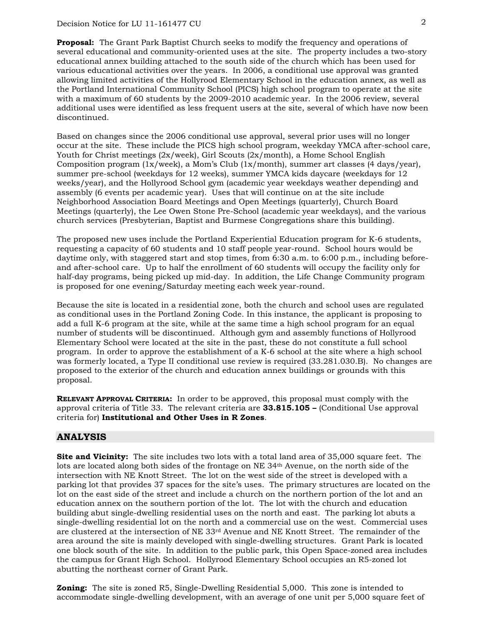**Proposal:** The Grant Park Baptist Church seeks to modify the frequency and operations of several educational and community-oriented uses at the site. The property includes a two-story educational annex building attached to the south side of the church which has been used for various educational activities over the years. In 2006, a conditional use approval was granted allowing limited activities of the Hollyrood Elementary School in the education annex, as well as the Portland International Community School (PICS) high school program to operate at the site with a maximum of 60 students by the 2009-2010 academic year. In the 2006 review, several additional uses were identified as less frequent users at the site, several of which have now been discontinued.

Based on changes since the 2006 conditional use approval, several prior uses will no longer occur at the site. These include the PICS high school program, weekday YMCA after-school care, Youth for Christ meetings (2x/week), Girl Scouts (2x/month), a Home School English Composition program  $(1x/week)$ , a Mom's Club  $(1x/month)$ , summer art classes  $(4 \text{ days/year})$ , summer pre-school (weekdays for 12 weeks), summer YMCA kids daycare (weekdays for 12 weeks/year), and the Hollyrood School gym (academic year weekdays weather depending) and assembly (6 events per academic year). Uses that will continue on at the site include Neighborhood Association Board Meetings and Open Meetings (quarterly), Church Board Meetings (quarterly), the Lee Owen Stone Pre-School (academic year weekdays), and the various church services (Presbyterian, Baptist and Burmese Congregations share this building).

The proposed new uses include the Portland Experiential Education program for K-6 students, requesting a capacity of 60 students and 10 staff people year-round. School hours would be daytime only, with staggered start and stop times, from 6:30 a.m. to 6:00 p.m., including beforeand after-school care. Up to half the enrollment of 60 students will occupy the facility only for half-day programs, being picked up mid-day. In addition, the Life Change Community program is proposed for one evening/Saturday meeting each week year-round.

Because the site is located in a residential zone, both the church and school uses are regulated as conditional uses in the Portland Zoning Code. In this instance, the applicant is proposing to add a full K-6 program at the site, while at the same time a high school program for an equal number of students will be discontinued. Although gym and assembly functions of Hollyrood Elementary School were located at the site in the past, these do not constitute a full school program. In order to approve the establishment of a K-6 school at the site where a high school was formerly located, a Type II conditional use review is required (33.281.030.B). No changes are proposed to the exterior of the church and education annex buildings or grounds with this proposal.

**RELEVANT APPROVAL CRITERIA:** In order to be approved, this proposal must comply with the approval criteria of Title 33. The relevant criteria are **33.815.105 –** (Conditional Use approval criteria for) **Institutional and Other Uses in R Zones**.

#### **ANALYSIS**

**Site and Vicinity:** The site includes two lots with a total land area of 35,000 square feet. The lots are located along both sides of the frontage on NE 34th Avenue, on the north side of the intersection with NE Knott Street. The lot on the west side of the street is developed with a parking lot that provides 37 spaces for the site's uses. The primary structures are located on the lot on the east side of the street and include a church on the northern portion of the lot and an education annex on the southern portion of the lot. The lot with the church and education building abut single-dwelling residential uses on the north and east. The parking lot abuts a single-dwelling residential lot on the north and a commercial use on the west. Commercial uses are clustered at the intersection of  $NE$  33<sup>rd</sup> Avenue and NE Knott Street. The remainder of the area around the site is mainly developed with single-dwelling structures. Grant Park is located one block south of the site. In addition to the public park, this Open Space-zoned area includes the campus for Grant High School. Hollyrood Elementary School occupies an R5-zoned lot abutting the northeast corner of Grant Park.

**Zoning:** The site is zoned R5, Single-Dwelling Residential 5,000. This zone is intended to accommodate single-dwelling development, with an average of one unit per 5,000 square feet of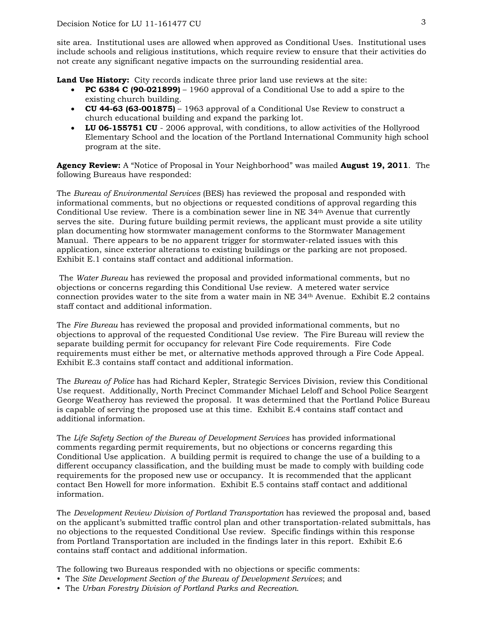site area. Institutional uses are allowed when approved as Conditional Uses. Institutional uses include schools and religious institutions, which require review to ensure that their activities do not create any significant negative impacts on the surrounding residential area.

**Land Use History:** City records indicate three prior land use reviews at the site:

- **PC 6384 C (90-021899)** 1960 approval of a Conditional Use to add a spire to the existing church building.
- **CU 44-63 (63-001875)** 1963 approval of a Conditional Use Review to construct a church educational building and expand the parking lot.
- **LU 06-155751 CU**  2006 approval, with conditions, to allow activities of the Hollyrood Elementary School and the location of the Portland International Community high school program at the site.

**Agency Review:** A "Notice of Proposal in Your Neighborhood" was mailed **August 19, 2011**. The following Bureaus have responded:

The *Bureau of Environmental Services* (BES) has reviewed the proposal and responded with informational comments, but no objections or requested conditions of approval regarding this Conditional Use review. There is a combination sewer line in NE 34th Avenue that currently serves the site. During future building permit reviews, the applicant must provide a site utility plan documenting how stormwater management conforms to the Stormwater Management Manual. There appears to be no apparent trigger for stormwater-related issues with this application, since exterior alterations to existing buildings or the parking are not proposed. Exhibit E.1 contains staff contact and additional information.

 The *Water Bureau* has reviewed the proposal and provided informational comments, but no objections or concerns regarding this Conditional Use review. A metered water service connection provides water to the site from a water main in NE 34th Avenue. Exhibit E.2 contains staff contact and additional information.

The *Fire Bureau* has reviewed the proposal and provided informational comments, but no objections to approval of the requested Conditional Use review. The Fire Bureau will review the separate building permit for occupancy for relevant Fire Code requirements. Fire Code requirements must either be met, or alternative methods approved through a Fire Code Appeal. Exhibit E.3 contains staff contact and additional information.

The *Bureau of Police* has had Richard Kepler, Strategic Services Division, review this Conditional Use request. Additionally, North Precinct Commander Michael Leloff and School Police Seargent George Weatheroy has reviewed the proposal. It was determined that the Portland Police Bureau is capable of serving the proposed use at this time. Exhibit E.4 contains staff contact and additional information.

The *Life Safety Section of the Bureau of Development Services* has provided informational comments regarding permit requirements, but no objections or concerns regarding this Conditional Use application. A building permit is required to change the use of a building to a different occupancy classification, and the building must be made to comply with building code requirements for the proposed new use or occupancy. It is recommended that the applicant contact Ben Howell for more information. Exhibit E.5 contains staff contact and additional information.

The *Development Review Division of Portland Transportation* has reviewed the proposal and, based on the applicant's submitted traffic control plan and other transportation-related submittals, has no objections to the requested Conditional Use review. Specific findings within this response from Portland Transportation are included in the findings later in this report. Exhibit E.6 contains staff contact and additional information.

The following two Bureaus responded with no objections or specific comments:

- The *Site Development Section of the Bureau of Development Services*; and
- The *Urban Forestry Division of Portland Parks and Recreation*.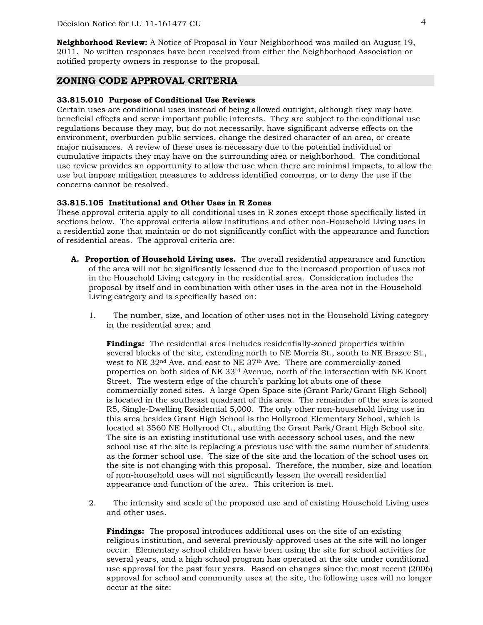**Neighborhood Review:** A Notice of Proposal in Your Neighborhood was mailed on August 19, 2011. No written responses have been received from either the Neighborhood Association or notified property owners in response to the proposal.

## **ZONING CODE APPROVAL CRITERIA**

#### **33.815.010 Purpose of Conditional Use Reviews**

Certain uses are conditional uses instead of being allowed outright, although they may have beneficial effects and serve important public interests. They are subject to the conditional use regulations because they may, but do not necessarily, have significant adverse effects on the environment, overburden public services, change the desired character of an area, or create major nuisances. A review of these uses is necessary due to the potential individual or cumulative impacts they may have on the surrounding area or neighborhood. The conditional use review provides an opportunity to allow the use when there are minimal impacts, to allow the use but impose mitigation measures to address identified concerns, or to deny the use if the concerns cannot be resolved.

#### **33.815.105 Institutional and Other Uses in R Zones**

These approval criteria apply to all conditional uses in R zones except those specifically listed in sections below. The approval criteria allow institutions and other non-Household Living uses in a residential zone that maintain or do not significantly conflict with the appearance and function of residential areas. The approval criteria are:

- **A. Proportion of Household Living uses.** The overall residential appearance and function of the area will not be significantly lessened due to the increased proportion of uses not in the Household Living category in the residential area. Consideration includes the proposal by itself and in combination with other uses in the area not in the Household Living category and is specifically based on:
	- 1. The number, size, and location of other uses not in the Household Living category in the residential area; and

**Findings:** The residential area includes residentially-zoned properties within several blocks of the site, extending north to NE Morris St., south to NE Brazee St., west to NE 32<sup>nd</sup> Ave. and east to NE 37<sup>th</sup> Ave. There are commercially-zoned properties on both sides of NE 33rd Avenue, north of the intersection with NE Knott Street. The western edge of the church's parking lot abuts one of these commercially zoned sites. A large Open Space site (Grant Park/Grant High School) is located in the southeast quadrant of this area. The remainder of the area is zoned R5, Single-Dwelling Residential 5,000. The only other non-household living use in this area besides Grant High School is the Hollyrood Elementary School, which is located at 3560 NE Hollyrood Ct., abutting the Grant Park/Grant High School site. The site is an existing institutional use with accessory school uses, and the new school use at the site is replacing a previous use with the same number of students as the former school use. The size of the site and the location of the school uses on the site is not changing with this proposal. Therefore, the number, size and location of non-household uses will not significantly lessen the overall residential appearance and function of the area. This criterion is met.

2. The intensity and scale of the proposed use and of existing Household Living uses and other uses.

**Findings:** The proposal introduces additional uses on the site of an existing religious institution, and several previously-approved uses at the site will no longer occur. Elementary school children have been using the site for school activities for several years, and a high school program has operated at the site under conditional use approval for the past four years. Based on changes since the most recent (2006) approval for school and community uses at the site, the following uses will no longer occur at the site: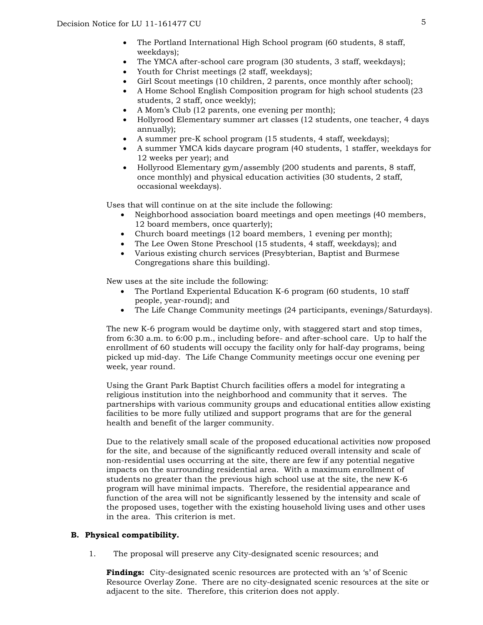- The Portland International High School program (60 students, 8 staff, weekdays);
- The YMCA after-school care program (30 students, 3 staff, weekdays);
- Youth for Christ meetings (2 staff, weekdays);
- Girl Scout meetings (10 children, 2 parents, once monthly after school);
- A Home School English Composition program for high school students (23 students, 2 staff, once weekly);
- A Mom's Club (12 parents, one evening per month);
- Hollyrood Elementary summer art classes (12 students, one teacher, 4 days annually);
- A summer pre-K school program (15 students, 4 staff, weekdays);
- A summer YMCA kids daycare program (40 students, 1 staffer, weekdays for 12 weeks per year); and
- Hollyrood Elementary gym/assembly (200 students and parents, 8 staff, once monthly) and physical education activities (30 students, 2 staff, occasional weekdays).

Uses that will continue on at the site include the following:

- Neighborhood association board meetings and open meetings (40 members, 12 board members, once quarterly);
- Church board meetings (12 board members, 1 evening per month);
- The Lee Owen Stone Preschool (15 students, 4 staff, weekdays); and
- Various existing church services (Presybterian, Baptist and Burmese Congregations share this building).

New uses at the site include the following:

- The Portland Experiental Education K-6 program (60 students, 10 staff people, year-round); and
- The Life Change Community meetings (24 participants, evenings/Saturdays).

The new K-6 program would be daytime only, with staggered start and stop times, from 6:30 a.m. to 6:00 p.m., including before- and after-school care. Up to half the enrollment of 60 students will occupy the facility only for half-day programs, being picked up mid-day. The Life Change Community meetings occur one evening per week, year round.

Using the Grant Park Baptist Church facilities offers a model for integrating a religious institution into the neighborhood and community that it serves. The partnerships with various community groups and educational entities allow existing facilities to be more fully utilized and support programs that are for the general health and benefit of the larger community.

Due to the relatively small scale of the proposed educational activities now proposed for the site, and because of the significantly reduced overall intensity and scale of non-residential uses occurring at the site, there are few if any potential negative impacts on the surrounding residential area. With a maximum enrollment of students no greater than the previous high school use at the site, the new K-6 program will have minimal impacts. Therefore, the residential appearance and function of the area will not be significantly lessened by the intensity and scale of the proposed uses, together with the existing household living uses and other uses in the area. This criterion is met.

#### **B. Physical compatibility.**

1. The proposal will preserve any City-designated scenic resources; and

**Findings:** City-designated scenic resources are protected with an 's' of Scenic Resource Overlay Zone. There are no city-designated scenic resources at the site or adjacent to the site. Therefore, this criterion does not apply.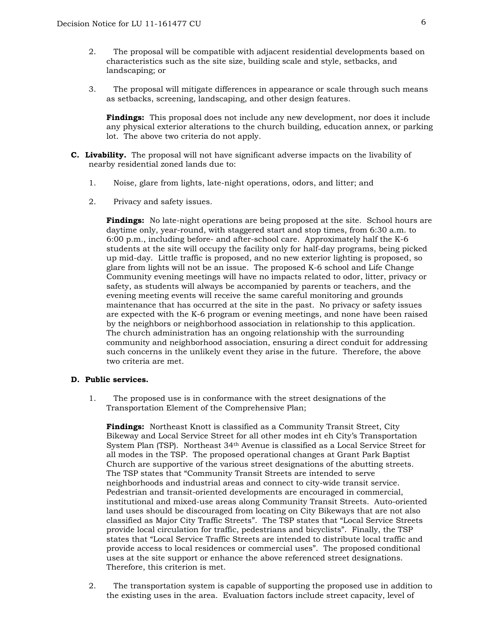- 2. The proposal will be compatible with adjacent residential developments based on characteristics such as the site size, building scale and style, setbacks, and landscaping; or
- 3. The proposal will mitigate differences in appearance or scale through such means as setbacks, screening, landscaping, and other design features.

**Findings:** This proposal does not include any new development, nor does it include any physical exterior alterations to the church building, education annex, or parking lot. The above two criteria do not apply.

- **C. Livability.** The proposal will not have significant adverse impacts on the livability of nearby residential zoned lands due to:
	- 1. Noise, glare from lights, late-night operations, odors, and litter; and
	- 2. Privacy and safety issues.

**Findings:** No late-night operations are being proposed at the site. School hours are daytime only, year-round, with staggered start and stop times, from 6:30 a.m. to 6:00 p.m., including before- and after-school care. Approximately half the K-6 students at the site will occupy the facility only for half-day programs, being picked up mid-day. Little traffic is proposed, and no new exterior lighting is proposed, so glare from lights will not be an issue. The proposed K-6 school and Life Change Community evening meetings will have no impacts related to odor, litter, privacy or safety, as students will always be accompanied by parents or teachers, and the evening meeting events will receive the same careful monitoring and grounds maintenance that has occurred at the site in the past. No privacy or safety issues are expected with the K-6 program or evening meetings, and none have been raised by the neighbors or neighborhood association in relationship to this application. The church administration has an ongoing relationship with the surrounding community and neighborhood association, ensuring a direct conduit for addressing such concerns in the unlikely event they arise in the future. Therefore, the above two criteria are met.

#### **D. Public services.**

1. The proposed use is in conformance with the street designations of the Transportation Element of the Comprehensive Plan;

**Findings:** Northeast Knott is classified as a Community Transit Street, City Bikeway and Local Service Street for all other modes int eh City's Transportation System Plan (TSP). Northeast 34th Avenue is classified as a Local Service Street for all modes in the TSP. The proposed operational changes at Grant Park Baptist Church are supportive of the various street designations of the abutting streets. The TSP states that "Community Transit Streets are intended to serve neighborhoods and industrial areas and connect to city-wide transit service. Pedestrian and transit-oriented developments are encouraged in commercial, institutional and mixed-use areas along Community Transit Streets. Auto-oriented land uses should be discouraged from locating on City Bikeways that are not also classified as Major City Traffic Streets". The TSP states that "Local Service Streets provide local circulation for traffic, pedestrians and bicyclists". Finally, the TSP states that "Local Service Traffic Streets are intended to distribute local traffic and provide access to local residences or commercial uses". The proposed conditional uses at the site support or enhance the above referenced street designations. Therefore, this criterion is met.

2. The transportation system is capable of supporting the proposed use in addition to the existing uses in the area. Evaluation factors include street capacity, level of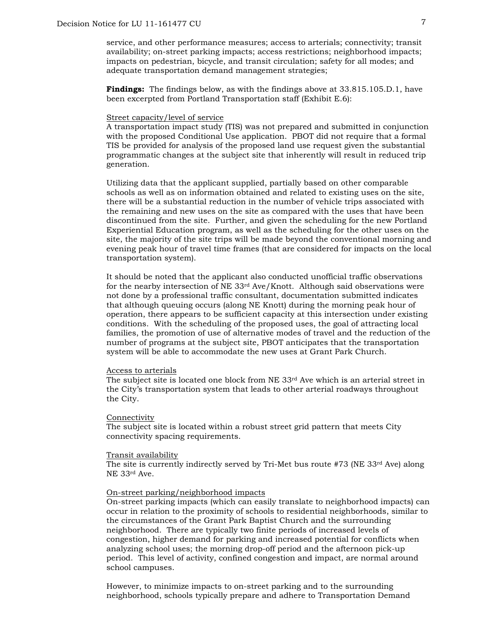service, and other performance measures; access to arterials; connectivity; transit availability; on-street parking impacts; access restrictions; neighborhood impacts; impacts on pedestrian, bicycle, and transit circulation; safety for all modes; and adequate transportation demand management strategies;

**Findings:** The findings below, as with the findings above at 33.815.105.D.1, have been excerpted from Portland Transportation staff (Exhibit E.6):

#### Street capacity/level of service

A transportation impact study (TIS) was not prepared and submitted in conjunction with the proposed Conditional Use application. PBOT did not require that a formal TIS be provided for analysis of the proposed land use request given the substantial programmatic changes at the subject site that inherently will result in reduced trip generation.

Utilizing data that the applicant supplied, partially based on other comparable schools as well as on information obtained and related to existing uses on the site, there will be a substantial reduction in the number of vehicle trips associated with the remaining and new uses on the site as compared with the uses that have been discontinued from the site. Further, and given the scheduling for the new Portland Experiential Education program, as well as the scheduling for the other uses on the site, the majority of the site trips will be made beyond the conventional morning and evening peak hour of travel time frames (that are considered for impacts on the local transportation system).

It should be noted that the applicant also conducted unofficial traffic observations for the nearby intersection of NE 33rd Ave/Knott. Although said observations were not done by a professional traffic consultant, documentation submitted indicates that although queuing occurs (along NE Knott) during the morning peak hour of operation, there appears to be sufficient capacity at this intersection under existing conditions. With the scheduling of the proposed uses, the goal of attracting local families, the promotion of use of alternative modes of travel and the reduction of the number of programs at the subject site, PBOT anticipates that the transportation system will be able to accommodate the new uses at Grant Park Church.

#### Access to arterials

The subject site is located one block from NE  $33<sup>rd</sup>$  Ave which is an arterial street in the City's transportation system that leads to other arterial roadways throughout the City.

#### Connectivity

The subject site is located within a robust street grid pattern that meets City connectivity spacing requirements.

#### Transit availability

The site is currently indirectly served by Tri-Met bus route #73 (NE 33rd Ave) along NE 33rd Ave.

#### On-street parking/neighborhood impacts

On-street parking impacts (which can easily translate to neighborhood impacts) can occur in relation to the proximity of schools to residential neighborhoods, similar to the circumstances of the Grant Park Baptist Church and the surrounding neighborhood. There are typically two finite periods of increased levels of congestion, higher demand for parking and increased potential for conflicts when analyzing school uses; the morning drop-off period and the afternoon pick-up period. This level of activity, confined congestion and impact, are normal around school campuses.

However, to minimize impacts to on-street parking and to the surrounding neighborhood, schools typically prepare and adhere to Transportation Demand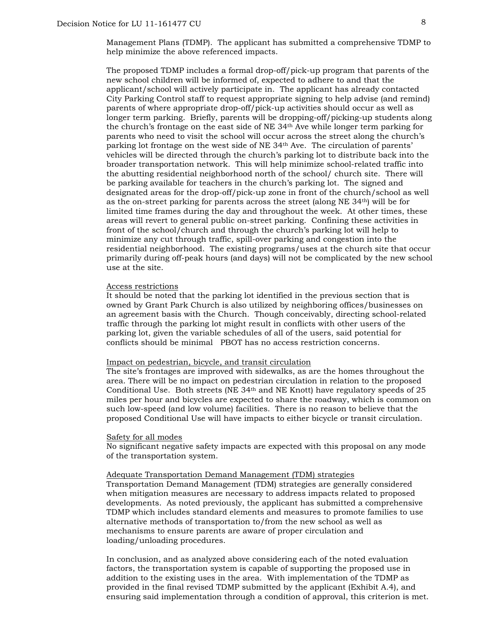Management Plans (TDMP). The applicant has submitted a comprehensive TDMP to help minimize the above referenced impacts.

The proposed TDMP includes a formal drop-off/pick-up program that parents of the new school children will be informed of, expected to adhere to and that the applicant/school will actively participate in. The applicant has already contacted City Parking Control staff to request appropriate signing to help advise (and remind) parents of where appropriate drop-off/pick-up activities should occur as well as longer term parking. Briefly, parents will be dropping-off/picking-up students along the church's frontage on the east side of NE 34th Ave while longer term parking for parents who need to visit the school will occur across the street along the church's parking lot frontage on the west side of NE 34th Ave. The circulation of parents' vehicles will be directed through the church's parking lot to distribute back into the broader transportation network. This will help minimize school-related traffic into the abutting residential neighborhood north of the school/ church site. There will be parking available for teachers in the church's parking lot. The signed and designated areas for the drop-off/pick-up zone in front of the church/school as well as the on-street parking for parents across the street (along NE 34th) will be for limited time frames during the day and throughout the week. At other times, these areas will revert to general public on-street parking. Confining these activities in front of the school/church and through the church's parking lot will help to minimize any cut through traffic, spill-over parking and congestion into the residential neighborhood. The existing programs/uses at the church site that occur primarily during off-peak hours (and days) will not be complicated by the new school use at the site.

#### Access restrictions

It should be noted that the parking lot identified in the previous section that is owned by Grant Park Church is also utilized by neighboring offices/businesses on an agreement basis with the Church. Though conceivably, directing school-related traffic through the parking lot might result in conflicts with other users of the parking lot, given the variable schedules of all of the users, said potential for conflicts should be minimal PBOT has no access restriction concerns.

#### Impact on pedestrian, bicycle, and transit circulation

The site's frontages are improved with sidewalks, as are the homes throughout the area. There will be no impact on pedestrian circulation in relation to the proposed Conditional Use. Both streets (NE 34th and NE Knott) have regulatory speeds of 25 miles per hour and bicycles are expected to share the roadway, which is common on such low-speed (and low volume) facilities. There is no reason to believe that the proposed Conditional Use will have impacts to either bicycle or transit circulation.

#### Safety for all modes

No significant negative safety impacts are expected with this proposal on any mode of the transportation system.

#### Adequate Transportation Demand Management (TDM) strategies

Transportation Demand Management (TDM) strategies are generally considered when mitigation measures are necessary to address impacts related to proposed developments. As noted previously, the applicant has submitted a comprehensive TDMP which includes standard elements and measures to promote families to use alternative methods of transportation to/from the new school as well as mechanisms to ensure parents are aware of proper circulation and loading/unloading procedures.

In conclusion, and as analyzed above considering each of the noted evaluation factors, the transportation system is capable of supporting the proposed use in addition to the existing uses in the area. With implementation of the TDMP as provided in the final revised TDMP submitted by the applicant (Exhibit A.4), and ensuring said implementation through a condition of approval, this criterion is met.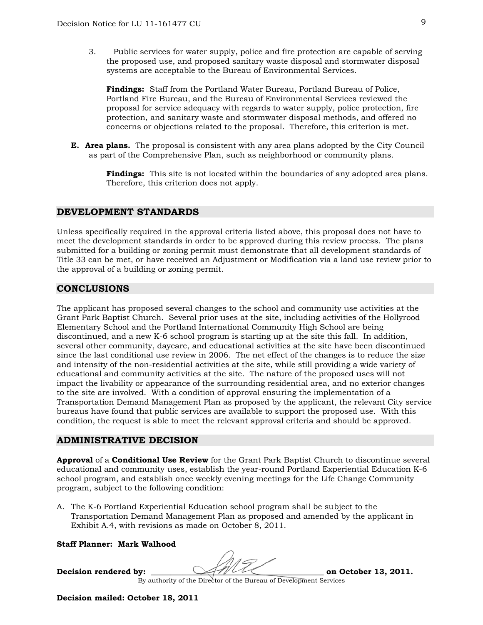3. Public services for water supply, police and fire protection are capable of serving the proposed use, and proposed sanitary waste disposal and stormwater disposal systems are acceptable to the Bureau of Environmental Services.

**Findings:** Staff from the Portland Water Bureau, Portland Bureau of Police, Portland Fire Bureau, and the Bureau of Environmental Services reviewed the proposal for service adequacy with regards to water supply, police protection, fire protection, and sanitary waste and stormwater disposal methods, and offered no concerns or objections related to the proposal. Therefore, this criterion is met.

**E. Area plans.** The proposal is consistent with any area plans adopted by the City Council as part of the Comprehensive Plan, such as neighborhood or community plans.

**Findings:** This site is not located within the boundaries of any adopted area plans. Therefore, this criterion does not apply.

#### **DEVELOPMENT STANDARDS**

Unless specifically required in the approval criteria listed above, this proposal does not have to meet the development standards in order to be approved during this review process. The plans submitted for a building or zoning permit must demonstrate that all development standards of Title 33 can be met, or have received an Adjustment or Modification via a land use review prior to the approval of a building or zoning permit.

#### **CONCLUSIONS**

The applicant has proposed several changes to the school and community use activities at the Grant Park Baptist Church. Several prior uses at the site, including activities of the Hollyrood Elementary School and the Portland International Community High School are being discontinued, and a new K-6 school program is starting up at the site this fall. In addition, several other community, daycare, and educational activities at the site have been discontinued since the last conditional use review in 2006. The net effect of the changes is to reduce the size and intensity of the non-residential activities at the site, while still providing a wide variety of educational and community activities at the site. The nature of the proposed uses will not impact the livability or appearance of the surrounding residential area, and no exterior changes to the site are involved. With a condition of approval ensuring the implementation of a Transportation Demand Management Plan as proposed by the applicant, the relevant City service bureaus have found that public services are available to support the proposed use. With this condition, the request is able to meet the relevant approval criteria and should be approved.

#### **ADMINISTRATIVE DECISION**

**Approval** of a **Conditional Use Review** for the Grant Park Baptist Church to discontinue several educational and community uses, establish the year-round Portland Experiential Education K-6 school program, and establish once weekly evening meetings for the Life Change Community program, subject to the following condition:

A. The K-6 Portland Experiential Education school program shall be subject to the Transportation Demand Management Plan as proposed and amended by the applicant in Exhibit A.4, with revisions as made on October 8, 2011.

#### **Staff Planner: Mark Walhood**

**Decision rendered by: \_\_\_\_\_\_\_\_\_\_\_\_\_\_\_\_\_\_\_\_\_\_\_\_\_\_\_\_\_\_\_\_\_\_\_\_\_\_\_\_\_\_\_\_ on October 13, 2011.** 

By authority of the Director of the Bureau of Development Services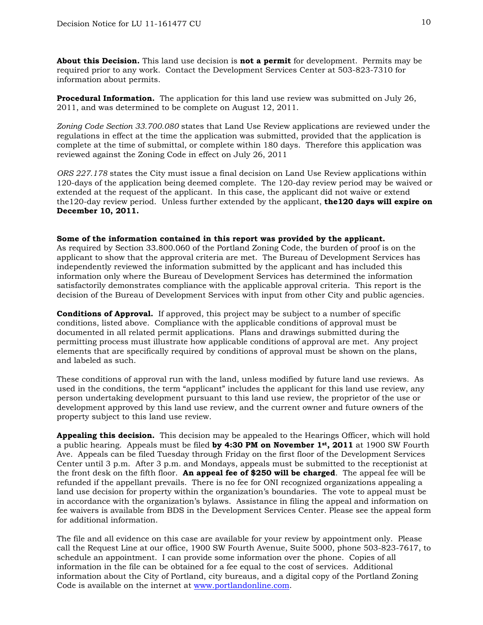**About this Decision.** This land use decision is **not a permit** for development. Permits may be required prior to any work. Contact the Development Services Center at 503-823-7310 for information about permits.

**Procedural Information.** The application for this land use review was submitted on July 26, 2011, and was determined to be complete on August 12, 2011.

*Zoning Code Section 33.700.080* states that Land Use Review applications are reviewed under the regulations in effect at the time the application was submitted, provided that the application is complete at the time of submittal, or complete within 180 days. Therefore this application was reviewed against the Zoning Code in effect on July 26, 2011

*ORS 227.178* states the City must issue a final decision on Land Use Review applications within 120-days of the application being deemed complete. The 120-day review period may be waived or extended at the request of the applicant. In this case, the applicant did not waive or extend the120-day review period. Unless further extended by the applicant, **the120 days will expire on December 10, 2011.**

#### **Some of the information contained in this report was provided by the applicant.**

As required by Section 33.800.060 of the Portland Zoning Code, the burden of proof is on the applicant to show that the approval criteria are met. The Bureau of Development Services has independently reviewed the information submitted by the applicant and has included this information only where the Bureau of Development Services has determined the information satisfactorily demonstrates compliance with the applicable approval criteria. This report is the decision of the Bureau of Development Services with input from other City and public agencies.

**Conditions of Approval.** If approved, this project may be subject to a number of specific conditions, listed above. Compliance with the applicable conditions of approval must be documented in all related permit applications. Plans and drawings submitted during the permitting process must illustrate how applicable conditions of approval are met. Any project elements that are specifically required by conditions of approval must be shown on the plans, and labeled as such.

These conditions of approval run with the land, unless modified by future land use reviews. As used in the conditions, the term "applicant" includes the applicant for this land use review, any person undertaking development pursuant to this land use review, the proprietor of the use or development approved by this land use review, and the current owner and future owners of the property subject to this land use review.

**Appealing this decision.** This decision may be appealed to the Hearings Officer, which will hold a public hearing. Appeals must be filed **by 4:30 PM on November 1st, 2011** at 1900 SW Fourth Ave. Appeals can be filed Tuesday through Friday on the first floor of the Development Services Center until 3 p.m. After 3 p.m. and Mondays, appeals must be submitted to the receptionist at the front desk on the fifth floor. **An appeal fee of \$250 will be charged**. The appeal fee will be refunded if the appellant prevails. There is no fee for ONI recognized organizations appealing a land use decision for property within the organization's boundaries. The vote to appeal must be in accordance with the organization's bylaws. Assistance in filing the appeal and information on fee waivers is available from BDS in the Development Services Center. Please see the appeal form for additional information.

The file and all evidence on this case are available for your review by appointment only. Please call the Request Line at our office, 1900 SW Fourth Avenue, Suite 5000, phone 503-823-7617, to schedule an appointment. I can provide some information over the phone. Copies of all information in the file can be obtained for a fee equal to the cost of services. Additional information about the City of Portland, city bureaus, and a digital copy of the Portland Zoning Code is available on the internet at [www.portlandonline.com](http://www.ci.portland.or.us/).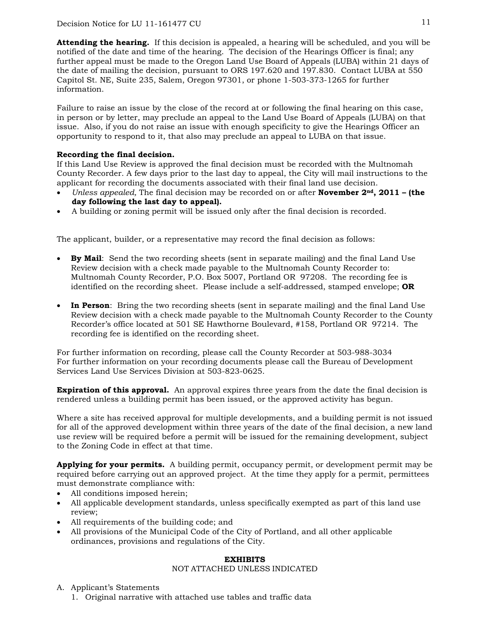**Attending the hearing.** If this decision is appealed, a hearing will be scheduled, and you will be notified of the date and time of the hearing. The decision of the Hearings Officer is final; any further appeal must be made to the Oregon Land Use Board of Appeals (LUBA) within 21 days of the date of mailing the decision, pursuant to ORS 197.620 and 197.830. Contact LUBA at 550 Capitol St. NE, Suite 235, Salem, Oregon 97301, or phone 1-503-373-1265 for further information.

Failure to raise an issue by the close of the record at or following the final hearing on this case, in person or by letter, may preclude an appeal to the Land Use Board of Appeals (LUBA) on that issue. Also, if you do not raise an issue with enough specificity to give the Hearings Officer an opportunity to respond to it, that also may preclude an appeal to LUBA on that issue.

### **Recording the final decision.**

If this Land Use Review is approved the final decision must be recorded with the Multnomah County Recorder. A few days prior to the last day to appeal, the City will mail instructions to the applicant for recording the documents associated with their final land use decision.

- *Unless appealed,* The final decision may be recorded on or after **November 2nd, 2011 (the day following the last day to appeal).**
- A building or zoning permit will be issued only after the final decision is recorded.

The applicant, builder, or a representative may record the final decision as follows:

- **By Mail**: Send the two recording sheets (sent in separate mailing) and the final Land Use Review decision with a check made payable to the Multnomah County Recorder to: Multnomah County Recorder, P.O. Box 5007, Portland OR 97208. The recording fee is identified on the recording sheet. Please include a self-addressed, stamped envelope; **OR**
- **In Person**: Bring the two recording sheets (sent in separate mailing) and the final Land Use Review decision with a check made payable to the Multnomah County Recorder to the County Recorder's office located at 501 SE Hawthorne Boulevard, #158, Portland OR 97214. The recording fee is identified on the recording sheet.

For further information on recording, please call the County Recorder at 503-988-3034 For further information on your recording documents please call the Bureau of Development Services Land Use Services Division at 503-823-0625.

**Expiration of this approval.** An approval expires three years from the date the final decision is rendered unless a building permit has been issued, or the approved activity has begun.

Where a site has received approval for multiple developments, and a building permit is not issued for all of the approved development within three years of the date of the final decision, a new land use review will be required before a permit will be issued for the remaining development, subject to the Zoning Code in effect at that time.

**Applying for your permits.** A building permit, occupancy permit, or development permit may be required before carrying out an approved project. At the time they apply for a permit, permittees must demonstrate compliance with:

- All conditions imposed herein;
- All applicable development standards, unless specifically exempted as part of this land use review;
- All requirements of the building code; and
- All provisions of the Municipal Code of the City of Portland, and all other applicable ordinances, provisions and regulations of the City.

#### **EXHIBITS**

#### NOT ATTACHED UNLESS INDICATED

- A. Applicant's Statements
	- 1. Original narrative with attached use tables and traffic data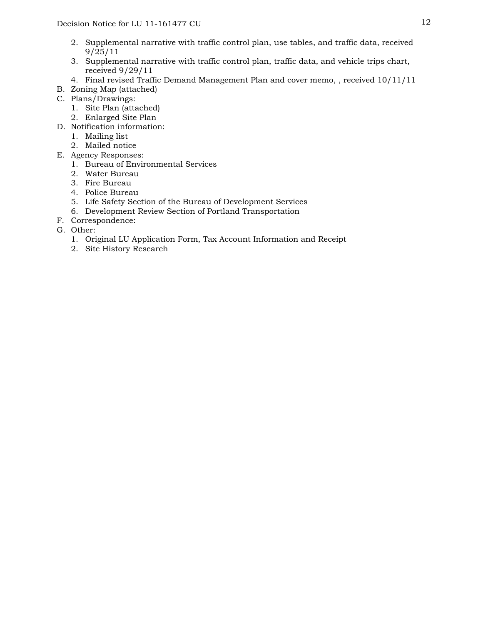- 2. Supplemental narrative with traffic control plan, use tables, and traffic data, received 9/25/11
- 3. Supplemental narrative with traffic control plan, traffic data, and vehicle trips chart, received 9/29/11
- 4. Final revised Traffic Demand Management Plan and cover memo, , received 10/11/11
- B. Zoning Map (attached)
- C. Plans/Drawings:
	- 1. Site Plan (attached)
	- 2. Enlarged Site Plan
- D. Notification information:
	- 1. Mailing list
	- 2. Mailed notice
- E. Agency Responses:
	- 1. Bureau of Environmental Services
	- 2. Water Bureau
	- 3. Fire Bureau
	- 4. Police Bureau
	- 5. Life Safety Section of the Bureau of Development Services
	- 6. Development Review Section of Portland Transportation
- F. Correspondence:
- G. Other:
	- 1. Original LU Application Form, Tax Account Information and Receipt
	- 2. Site History Research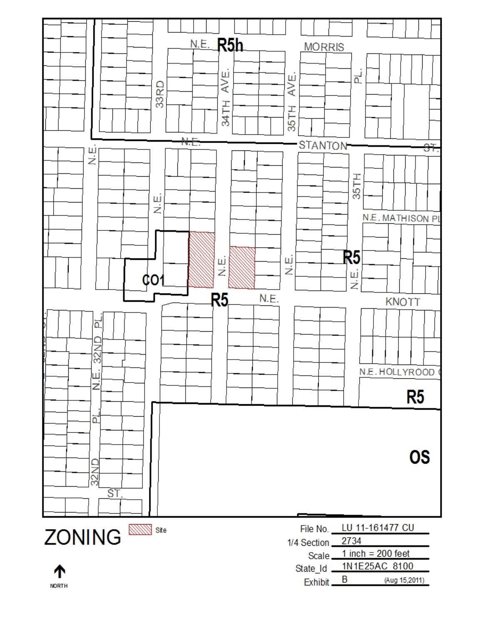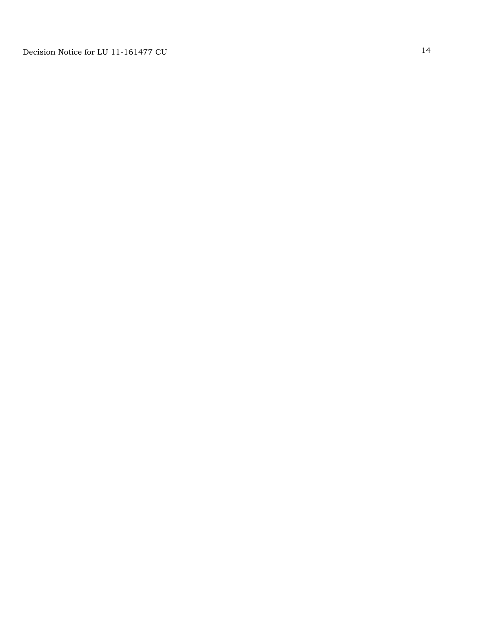Decision Notice for LU 11-161477 CU 14